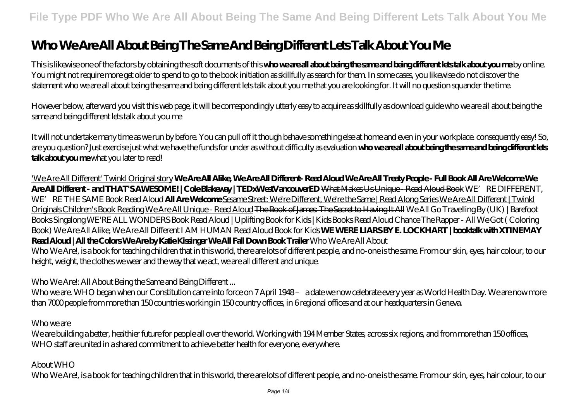# **Who We Are All About Being The Same And Being Different Lets Talk About You Me**

This is likewise one of the factors by obtaining the soft documents of this **who we are all about being the same and being different lets talk about you me** by online. You might not require more get older to spend to go to the book initiation as skillfully as search for them. In some cases, you likewise do not discover the statement who we are all about being the same and being different lets talk about you me that you are looking for. It will no question squander the time.

However below, afterward you visit this web page, it will be correspondingly utterly easy to acquire as skillfully as download guide who we are all about being the same and being different lets talk about you me

It will not undertake many time as we run by before. You can pull off it though behave something else at home and even in your workplace. consequently easy! So, are you question? Just exercise just what we have the funds for under as without difficulty as evaluation **who we are all about being the same and being different lets talk about you me** what you later to read!

'We Are All Different' Twinkl Original story **We Are All Alike, We Are All Different- Read Aloud We Are All Treaty People - Full Book All Are Welcome We Are All Different - and THAT'S AWESOME! | Cole Blakeway | TEDxWestVancouverED** What Makes Us Unique - Read Aloud Book *WE'RE DIFFERENT,* WE' RE THE SAME Book Read Aloud **All Are Welcome** Sesame Street: We're Different, We're the Same | Read Along Series We Are All Different | Twinkl Originals Children's Book Reading We Are All Unique - Read Aloud <del>The Book of James The Secret to Having It All</del> We All Go Travelling By (UK) | Barefoot Books Singalong WE'RE ALL WONDERS Book Read Aloud | Uplifting Book for Kids | Kids Books Read Aloud *Chance The Rapper - All We Got ( Coloring Book)* We Are All Alike, We Are All Different I AM HUMAN Read Aloud Book for Kids **WE WERE LIARS BY E. LOCKHART | booktalk with XTINEMAY Read Aloud | All the Colors We Are by Katie Kissinger We All Fall Down Book Trailer** *Who We Are All About*

Who We Are!, is a book for teaching children that in this world, there are lots of different people, and no-one is the same. From our skin, eyes, hair colour, to our height, weight, the clothes we wear and the way that we act, we are all different and unique.

## *Who We Are!: All About Being the Same and Being Different ...*

Who we are. WHO began when our Constitution came into force on 7 April 1948- a date we now celebrate every year as World Health Day. We are now more than 7000 people from more than 150 countries working in 150 country offices, in 6 regional offices and at our headquarters in Geneva.

*Who we are*

We are building a better, healthier future for people all over the world. Working with 194 Member States, across six regions, and from more than 150 offices, WHO staff are united in a shared commitment to achieve better health for everyone, everywhere.

# *About WHO*

Who We Are!, is a book for teaching children that in this world, there are lots of different people, and no-one is the same. From our skin, eyes, hair colour, to our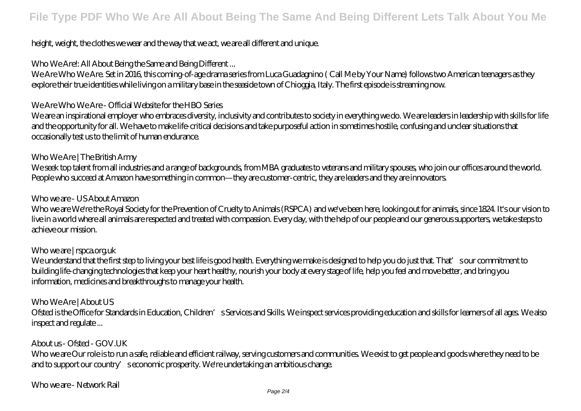# height, weight, the clothes we wear and the way that we act, we are all different and unique.

# *Who We Are!: All About Being the Same and Being Different ...*

We Are Who We Are. Set in 2016, this coming-of-age drama series from Luca Guadagnino ( Call Me by Your Name) follows two American teenagers as they explore their true identities while living on a military base in the seaside town of Chioggia, Italy. The first episode is streaming now.

#### *We Are Who We Are - Official Website for the HBO Series*

We are an inspirational employer who embraces diversity, inclusivity and contributes to society in everything we do. We are leaders in leadership with skills for life and the opportunity for all. We have to make life-critical decisions and take purposeful action in sometimes hostile, confusing and unclear situations that occasionally test us to the limit of human endurance.

#### *Who We Are | The British Army*

We seek top talent from all industries and a range of backgrounds, from MBA graduates to veterans and military spouses, who join our offices around the world. People who succeed at Amazon have something in common—they are customer-centric, they are leaders and they are innovators.

#### *Who we are - US About Amazon*

Who we are We're the Royal Society for the Prevention of Cruelty to Animals (RSPCA) and we've been here, looking out for animals, since 1824. It's our vision to live in a world where all animals are respected and treated with compassion. Every day, with the help of our people and our generous supporters, we take steps to achieve our mission.

## *Who we are | rspca.org.uk*

We understand that the first step to living your best life is good health. Everything we make is designed to help you do just that. That's our commitment to building life-changing technologies that keep your heart healthy, nourish your body at every stage of life, help you feel and move better, and bring you information, medicines and breakthroughs to manage your health.

## *Who We Are | About US*

Ofsted is the Office for Standards in Education, Children's Services and Skills. We inspect services providing education and skills for learners of all ages. We also inspect and regulate ...

## *About us - Ofsted - GOV.UK*

Who we are Our role is to run a safe, reliable and efficient railway, serving customers and communities. We exist to get people and goods where they need to be and to support our country' seconomic prosperity. We're undertaking an ambitious change.

## *Who we are - Network Rail*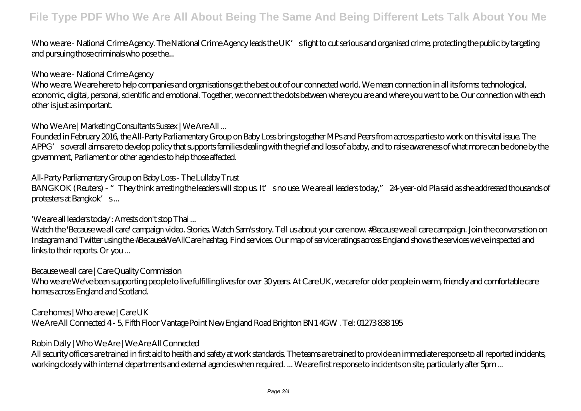Who we are - National Crime Agency. The National Crime Agency leads the UK's fight to cut serious and organised crime, protecting the public by targeting and pursuing those criminals who pose the...

#### *Who we are - National Crime Agency*

Who we are. We are here to help companies and organisations get the best out of our connected world. We mean connection in all its forms: technological, economic, digital, personal, scientific and emotional. Together, we connect the dots between where you are and where you want to be. Our connection with each other is just as important.

#### *Who We Are | Marketing Consultants Sussex | We Are All ...*

Founded in February 2016, the All-Party Parliamentary Group on Baby Loss brings together MPs and Peers from across parties to work on this vital issue. The APPG' soverall aims are to develop policy that supports families dealing with the grief and loss of a baby, and to raise awareness of what more can be done by the government, Parliament or other agencies to help those affected.

## *All-Party Parliamentary Group on Baby Loss - The Lullaby Trust*

BANGKOK (Reuters) - "They think arresting the leaders will stop us. It's no use. We are all leaders today," 24-year-old Pla said as she addressed thousands of protesters at Bangkok's...

## *'We are all leaders today': Arrests don't stop Thai ...*

Watch the 'Because we all care' campaign video. Stories. Watch Sam's story. Tell us about your care now. #Because we all care campaign. Join the conversation on Instagram and Twitter using the #BecauseWeAllCare hashtag. Find services. Our map of service ratings across England shows the services we've inspected and links to their reports. Or you ...

#### *Because we all care | Care Quality Commission*

Who we are We've been supporting people to live fulfilling lives for over 30 years. At Care UK, we care for older people in warm, friendly and comfortable care homes across England and Scotland.

*Care homes | Who are we | Care UK*

We Are All Connected 4 - 5, Fifth Floor Vantage Point New England Road Brighton BN1 4GW . Tel: 01273 838 195

## *Robin Dally | Who We Are | We Are All Connected*

All security officers are trained in first aid to health and safety at work standards. The teams are trained to provide an immediate response to all reported incidents, working closely with internal departments and external agencies when required. ... We are first response to incidents on site, particularly after 5pm ...